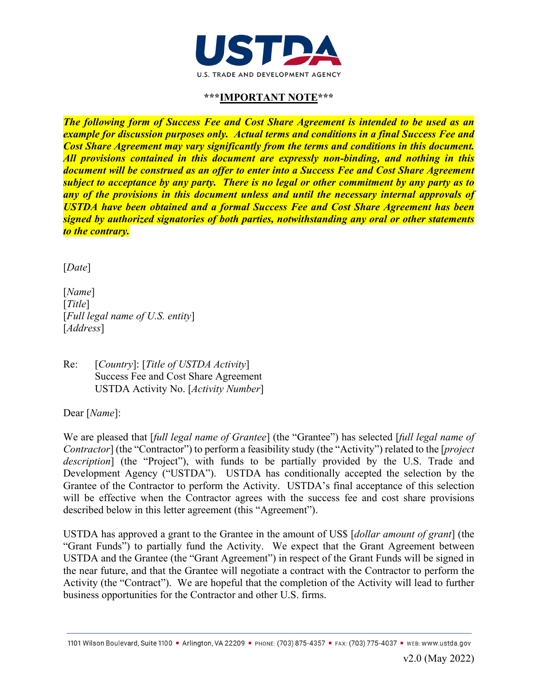

# **\*\*\*IMPORTANT NOTE\*\*\***

*The following form of Success Fee and Cost Share Agreement is intended to be used as an example for discussion purposes only. Actual terms and conditions in a final Success Fee and Cost Share Agreement may vary significantly from the terms and conditions in this document. All provisions contained in this document are expressly non-binding, and nothing in this document will be construed as an offer to enter into a Success Fee and Cost Share Agreement subject to acceptance by any party. There is no legal or other commitment by any party as to any of the provisions in this document unless and until the necessary internal approvals of USTDA have been obtained and a formal Success Fee and Cost Share Agreement has been signed by authorized signatories of both parties, notwithstanding any oral or other statements to the contrary.*

[*Date*]

[*Name*] [*Title*] [*Full legal name of U.S. entity*] [*Address*]

Re: [*Country*]: [*Title of USTDA Activity*] Success Fee and Cost Share Agreement USTDA Activity No. [*Activity Number*]

Dear [*Name*]:

We are pleased that [*full legal name of Grantee*] (the "Grantee") has selected [*full legal name of Contractor*] (the "Contractor") to perform a feasibility study (the "Activity") related to the [*project description*] (the "Project"), with funds to be partially provided by the U.S. Trade and Development Agency ("USTDA"). USTDA has conditionally accepted the selection by the Grantee of the Contractor to perform the Activity. USTDA's final acceptance of this selection will be effective when the Contractor agrees with the success fee and cost share provisions described below in this letter agreement (this "Agreement").

USTDA has approved a grant to the Grantee in the amount of US\$ [*dollar amount of grant*] (the "Grant Funds") to partially fund the Activity. We expect that the Grant Agreement between USTDA and the Grantee (the "Grant Agreement") in respect of the Grant Funds will be signed in the near future, and that the Grantee will negotiate a contract with the Contractor to perform the Activity (the "Contract"). We are hopeful that the completion of the Activity will lead to further business opportunities for the Contractor and other U.S. firms.

<sup>1101</sup> Wilson Boulevard, Suite 1100 · Arlington, VA 22209 · PHONE: (703) 875-4357 · FAX: (703) 775-4037 · WEB: WWW.ustda.gov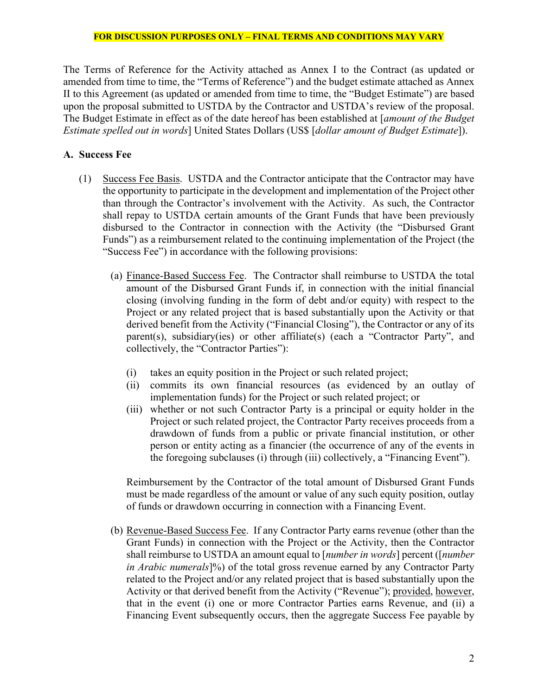The Terms of Reference for the Activity attached as Annex I to the Contract (as updated or amended from time to time, the "Terms of Reference") and the budget estimate attached as [Annex](#page-11-0)  [II](#page-11-0) to this Agreement (as updated or amended from time to time, the "Budget Estimate") are based upon the proposal submitted to USTDA by the Contractor and USTDA's review of the proposal. The Budget Estimate in effect as of the date hereof has been established at [*amount of the Budget Estimate spelled out in words*] United States Dollars (US\$ [*dollar amount of Budget Estimate*]).

# **A. Success Fee**

- (1) Success Fee Basis. USTDA and the Contractor anticipate that the Contractor may have the opportunity to participate in the development and implementation of the Project other than through the Contractor's involvement with the Activity. As such, the Contractor shall repay to USTDA certain amounts of the Grant Funds that have been previously disbursed to the Contractor in connection with the Activity (the "Disbursed Grant Funds") as a reimbursement related to the continuing implementation of the Project (the "Success Fee") in accordance with the following provisions:
	- (a) Finance-Based Success Fee. The Contractor shall reimburse to USTDA the total amount of the Disbursed Grant Funds if, in connection with the initial financial closing (involving funding in the form of debt and/or equity) with respect to the Project or any related project that is based substantially upon the Activity or that derived benefit from the Activity ("Financial Closing"), the Contractor or any of its parent(s), subsidiary(ies) or other affiliate(s) (each a "Contractor Party", and collectively, the "Contractor Parties"):
		- (i) takes an equity position in the Project or such related project;
		- (ii) commits its own financial resources (as evidenced by an outlay of implementation funds) for the Project or such related project; or
		- (iii) whether or not such Contractor Party is a principal or equity holder in the Project or such related project, the Contractor Party receives proceeds from a drawdown of funds from a public or private financial institution, or other person or entity acting as a financier (the occurrence of any of the events in the foregoing subclauses (i) through (iii) collectively, a "Financing Event").

Reimbursement by the Contractor of the total amount of Disbursed Grant Funds must be made regardless of the amount or value of any such equity position, outlay of funds or drawdown occurring in connection with a Financing Event.

<span id="page-1-0"></span>(b) Revenue-Based Success Fee. If any Contractor Party earns revenue (other than the Grant Funds) in connection with the Project or the Activity, then the Contractor shall reimburse to USTDA an amount equal to [*number in words*] percent ([*number in Arabic numerals*]%) of the total gross revenue earned by any Contractor Party related to the Project and/or any related project that is based substantially upon the Activity or that derived benefit from the Activity ("Revenue"); provided, however, that in the event (i) one or more Contractor Parties earns Revenue, and (ii) a Financing Event subsequently occurs, then the aggregate Success Fee payable by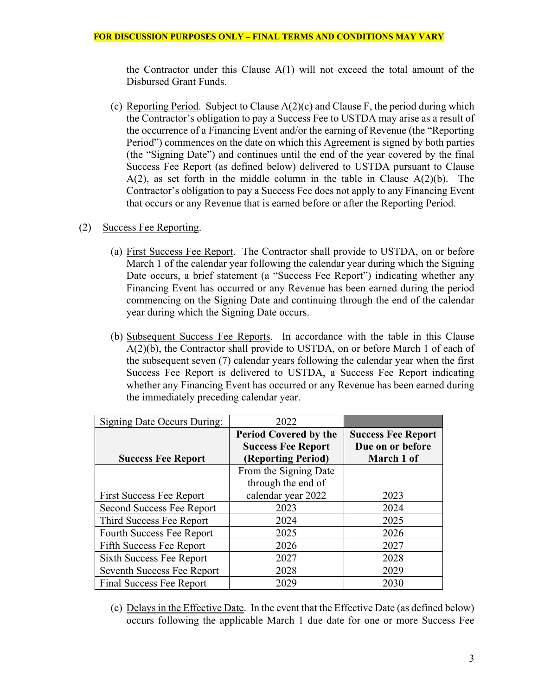the Contractor under this Clause A(1) will not exceed the total amount of the Disbursed Grant Funds.

(c) Reporting Period. Subject to Clause A(2)(c) and Clause [F,](#page-7-0) the period during which the Contractor's obligation to pay a Success Fee to USTDA may arise as a result of the occurrence of a Financing Event and/or the earning of Revenue (the "Reporting Period") commences on the date on which this Agreement is signed by both parties (the "Signing Date") and continues until the end of the year covered by the final Success Fee Report (as defined below) delivered to USTDA pursuant to Clause  $A(2)$ , as set forth in the middle column in the table in Clause  $A(2)(b)$ . The Contractor's obligation to pay a Success Fee does not apply to any Financing Event that occurs or any Revenue that is earned before or after the Reporting Period.

# (2) Success Fee Reporting.

- (a) First Success Fee Report. The Contractor shall provide to USTDA, on or before March 1 of the calendar year following the calendar year during which the Signing Date occurs, a brief statement (a "Success Fee Report") indicating whether any Financing Event has occurred or any Revenue has been earned during the period commencing on the Signing Date and continuing through the end of the calendar year during which the Signing Date occurs.
- (b) Subsequent Success Fee Reports. In accordance with the table in this Clause A(2)(b), the Contractor shall provide to USTDA, on or before March 1 of each of the subsequent seven (7) calendar years following the calendar year when the first Success Fee Report is delivered to USTDA, a Success Fee Report indicating whether any Financing Event has occurred or any Revenue has been earned during the immediately preceding calendar year.

| Signing Date Occurs During:     | 2022                         |                           |
|---------------------------------|------------------------------|---------------------------|
|                                 | <b>Period Covered by the</b> | <b>Success Fee Report</b> |
|                                 | <b>Success Fee Report</b>    | Due on or before          |
| <b>Success Fee Report</b>       | (Reporting Period)           | March 1 of                |
|                                 | From the Signing Date        |                           |
|                                 | through the end of           |                           |
| <b>First Success Fee Report</b> | calendar year 2022           | 2023                      |
| Second Success Fee Report       | 2023                         | 2024                      |
| Third Success Fee Report        | 2024                         | 2025                      |
| Fourth Success Fee Report       | 2025                         | 2026                      |
| Fifth Success Fee Report        | 2026                         | 2027                      |
| Sixth Success Fee Report        | 2027                         | 2028                      |
| Seventh Success Fee Report      | 2028                         | 2029                      |
| <b>Final Success Fee Report</b> | 2029                         | 2030                      |

(c) Delays in the Effective Date. In the event that the Effective Date (as defined below) occurs following the applicable March 1 due date for one or more Success Fee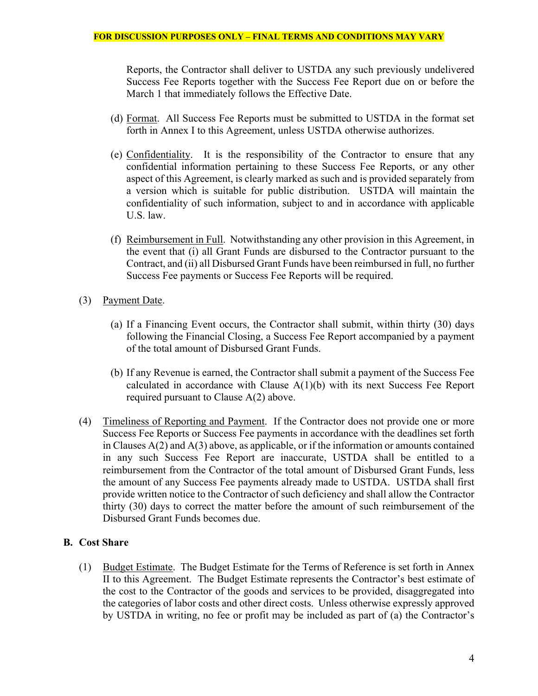Reports, the Contractor shall deliver to USTDA any such previously undelivered Success Fee Reports together with the Success Fee Report due on or before the March 1 that immediately follows the Effective Date.

- (d) Format. All Success Fee Reports must be submitted to USTDA in the format set forth in Annex I to this Agreement, unless USTDA otherwise authorizes.
- (e) Confidentiality. It is the responsibility of the Contractor to ensure that any confidential information pertaining to these Success Fee Reports, or any other aspect of this Agreement, is clearly marked as such and is provided separately from a version which is suitable for public distribution. USTDA will maintain the confidentiality of such information, subject to and in accordance with applicable U.S. law.
- (f) Reimbursement in Full. Notwithstanding any other provision in this Agreement, in the event that (i) all Grant Funds are disbursed to the Contractor pursuant to the Contract, and (ii) all Disbursed Grant Funds have been reimbursed in full, no further Success Fee payments or Success Fee Reports will be required.
- (3) Payment Date.
	- (a) If a Financing Event occurs, the Contractor shall submit, within thirty (30) days following the Financial Closing, a Success Fee Report accompanied by a payment of the total amount of Disbursed Grant Funds.
	- (b) If any Revenue is earned, the Contractor shall submit a payment of the Success Fee calculated in accordance with Clause A(1[\)\(b\)](#page-1-0) with its next Success Fee Report required pursuant to Clause A(2) above.
- (4) Timeliness of Reporting and Payment. If the Contractor does not provide one or more Success Fee Reports or Success Fee payments in accordance with the deadlines set forth in Clauses A(2) and A(3) above, as applicable, or if the information or amounts contained in any such Success Fee Report are inaccurate, USTDA shall be entitled to a reimbursement from the Contractor of the total amount of Disbursed Grant Funds, less the amount of any Success Fee payments already made to USTDA. USTDA shall first provide written notice to the Contractor of such deficiency and shall allow the Contractor thirty (30) days to correct the matter before the amount of such reimbursement of the Disbursed Grant Funds becomes due.

# <span id="page-3-0"></span>**B. Cost Share**

(1) Budget Estimate. The Budget Estimate for the Terms of Reference is set forth in [Annex](#page-11-0)  [II](#page-11-0) to this Agreement. The Budget Estimate represents the Contractor's best estimate of the cost to the Contractor of the goods and services to be provided, disaggregated into the categories of labor costs and other direct costs. Unless otherwise expressly approved by USTDA in writing, no fee or profit may be included as part of (a) the Contractor's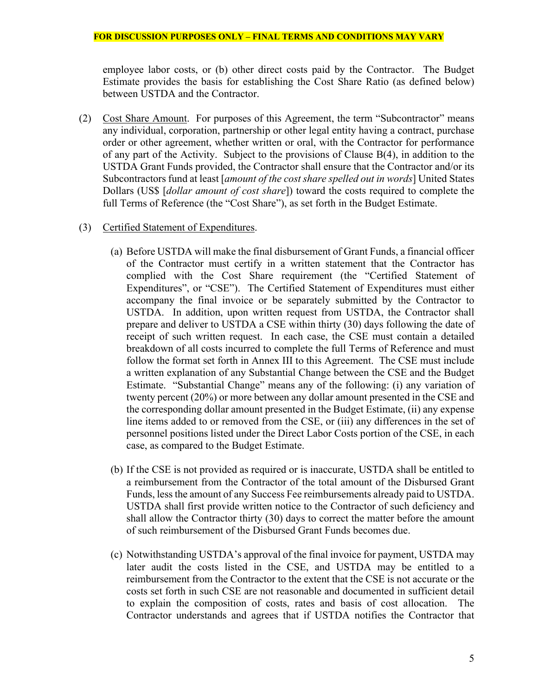employee labor costs, or (b) other direct costs paid by the Contractor. The Budget Estimate provides the basis for establishing the Cost Share Ratio (as defined below) between USTDA and the Contractor.

- (2) Cost Share Amount. For purposes of this Agreement, the term "Subcontractor" means any individual, corporation, partnership or other legal entity having a contract, purchase order or other agreement, whether written or oral, with the Contractor for performance of any part of the Activity. Subject to the provisions of Clause [B\(](#page-3-0)4), in addition to the USTDA Grant Funds provided, the Contractor shall ensure that the Contractor and/or its Subcontractors fund at least [*amount of the cost share spelled out in words*] United States Dollars (US\$ [*dollar amount of cost share*]) toward the costs required to complete the full Terms of Reference (the "Cost Share"), as set forth in the Budget Estimate.
- (3) Certified Statement of Expenditures.
	- (a) Before USTDA will make the final disbursement of Grant Funds, a financial officer of the Contractor must certify in a written statement that the Contractor has complied with the Cost Share requirement (the "Certified Statement of Expenditures", or "CSE"). The Certified Statement of Expenditures must either accompany the final invoice or be separately submitted by the Contractor to USTDA. In addition, upon written request from USTDA, the Contractor shall prepare and deliver to USTDA a CSE within thirty (30) days following the date of receipt of such written request. In each case, the CSE must contain a detailed breakdown of all costs incurred to complete the full Terms of Reference and must follow the format set forth in [Annex III](#page-12-0) to this Agreement. The CSE must include a written explanation of any Substantial Change between the CSE and the Budget Estimate. "Substantial Change" means any of the following: (i) any variation of twenty percent (20%) or more between any dollar amount presented in the CSE and the corresponding dollar amount presented in the Budget Estimate, (ii) any expense line items added to or removed from the CSE, or (iii) any differences in the set of personnel positions listed under the Direct Labor Costs portion of the CSE, in each case, as compared to the Budget Estimate.
	- (b) If the CSE is not provided as required or is inaccurate, USTDA shall be entitled to a reimbursement from the Contractor of the total amount of the Disbursed Grant Funds, less the amount of any Success Fee reimbursements already paid to USTDA. USTDA shall first provide written notice to the Contractor of such deficiency and shall allow the Contractor thirty (30) days to correct the matter before the amount of such reimbursement of the Disbursed Grant Funds becomes due.
	- (c) Notwithstanding USTDA's approval of the final invoice for payment, USTDA may later audit the costs listed in the CSE, and USTDA may be entitled to a reimbursement from the Contractor to the extent that the CSE is not accurate or the costs set forth in such CSE are not reasonable and documented in sufficient detail to explain the composition of costs, rates and basis of cost allocation. The Contractor understands and agrees that if USTDA notifies the Contractor that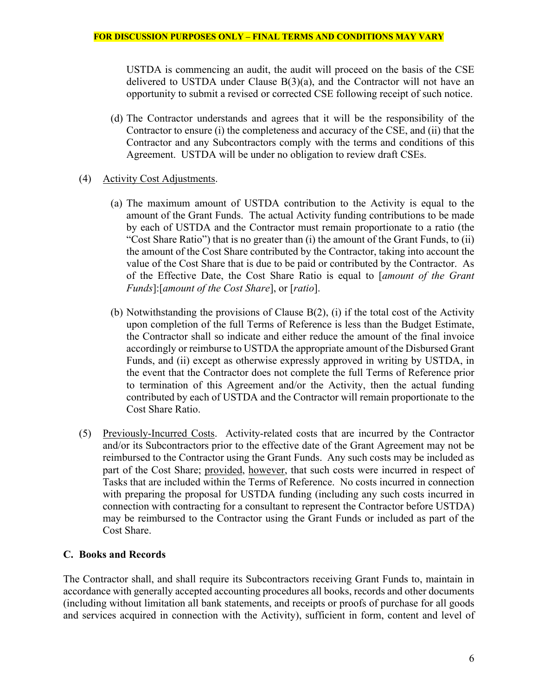USTDA is commencing an audit, the audit will proceed on the basis of the CSE delivered to USTDA under Clause  $B(3)(a)$ , and the Contractor will not have an opportunity to submit a revised or corrected CSE following receipt of such notice.

(d) The Contractor understands and agrees that it will be the responsibility of the Contractor to ensure (i) the completeness and accuracy of the CSE, and (ii) that the Contractor and any Subcontractors comply with the terms and conditions of this Agreement. USTDA will be under no obligation to review draft CSEs.

# (4) Activity Cost Adjustments.

- (a) The maximum amount of USTDA contribution to the Activity is equal to the amount of the Grant Funds. The actual Activity funding contributions to be made by each of USTDA and the Contractor must remain proportionate to a ratio (the "Cost Share Ratio") that is no greater than (i) the amount of the Grant Funds, to (ii) the amount of the Cost Share contributed by the Contractor, taking into account the value of the Cost Share that is due to be paid or contributed by the Contractor. As of the Effective Date, the Cost Share Ratio is equal to [*amount of the Grant Funds*]:[*amount of the Cost Share*], or [*ratio*].
- (b) Notwithstanding the provisions of Clause  $B(2)$ , (i) if the total cost of the Activity upon completion of the full Terms of Reference is less than the Budget Estimate, the Contractor shall so indicate and either reduce the amount of the final invoice accordingly or reimburse to USTDA the appropriate amount of the Disbursed Grant Funds, and (ii) except as otherwise expressly approved in writing by USTDA, in the event that the Contractor does not complete the full Terms of Reference prior to termination of this Agreement and/or the Activity, then the actual funding contributed by each of USTDA and the Contractor will remain proportionate to the Cost Share Ratio.
- (5) Previously-Incurred Costs. Activity-related costs that are incurred by the Contractor and/or its Subcontractors prior to the effective date of the Grant Agreement may not be reimbursed to the Contractor using the Grant Funds. Any such costs may be included as part of the Cost Share; provided, however, that such costs were incurred in respect of Tasks that are included within the Terms of Reference. No costs incurred in connection with preparing the proposal for USTDA funding (including any such costs incurred in connection with contracting for a consultant to represent the Contractor before USTDA) may be reimbursed to the Contractor using the Grant Funds or included as part of the Cost Share.

## <span id="page-5-0"></span>**C. Books and Records**

The Contractor shall, and shall require its Subcontractors receiving Grant Funds to, maintain in accordance with generally accepted accounting procedures all books, records and other documents (including without limitation all bank statements, and receipts or proofs of purchase for all goods and services acquired in connection with the Activity), sufficient in form, content and level of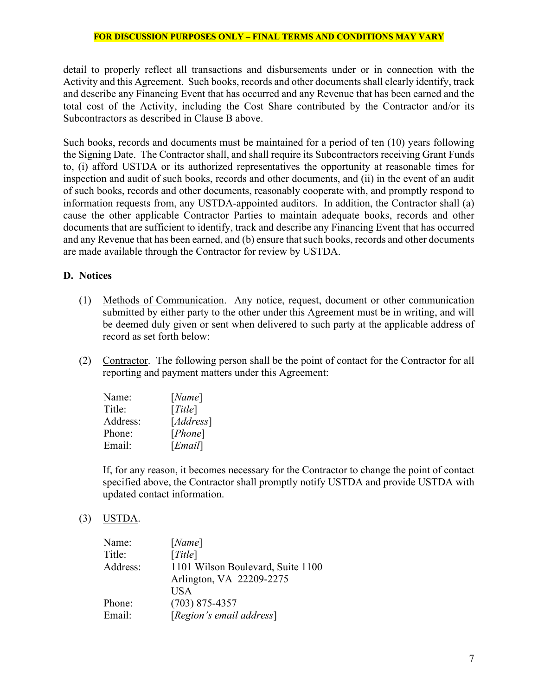detail to properly reflect all transactions and disbursements under or in connection with the Activity and this Agreement. Such books, records and other documents shall clearly identify, track and describe any Financing Event that has occurred and any Revenue that has been earned and the total cost of the Activity, including the Cost Share contributed by the Contractor and/or its Subcontractors as described in Clause [B](#page-3-0) above.

Such books, records and documents must be maintained for a period of ten (10) years following the Signing Date. The Contractor shall, and shall require its Subcontractors receiving Grant Funds to, (i) afford USTDA or its authorized representatives the opportunity at reasonable times for inspection and audit of such books, records and other documents, and (ii) in the event of an audit of such books, records and other documents, reasonably cooperate with, and promptly respond to information requests from, any USTDA-appointed auditors. In addition, the Contractor shall (a) cause the other applicable Contractor Parties to maintain adequate books, records and other documents that are sufficient to identify, track and describe any Financing Event that has occurred and any Revenue that has been earned, and (b) ensure that such books, records and other documents are made available through the Contractor for review by USTDA.

## <span id="page-6-0"></span>**D. Notices**

- (1) Methods of Communication. Any notice, request, document or other communication submitted by either party to the other under this Agreement must be in writing, and will be deemed duly given or sent when delivered to such party at the applicable address of record as set forth below:
- (2) Contractor. The following person shall be the point of contact for the Contractor for all reporting and payment matters under this Agreement:

| Name:    | [Name]    |
|----------|-----------|
| Title:   | [Title]   |
| Address: | [Address] |
| Phone:   | [Phone]   |
| Email:   | [Email]   |

If, for any reason, it becomes necessary for the Contractor to change the point of contact specified above, the Contractor shall promptly notify USTDA and provide USTDA with updated contact information.

(3) USTDA.

| Name:    | [Name]                            |
|----------|-----------------------------------|
| Title:   | [Title]                           |
| Address: | 1101 Wilson Boulevard, Suite 1100 |
|          | Arlington, VA 22209-2275          |
|          | USA                               |
| Phone:   | $(703)$ 875-4357                  |
| Email:   | [Region's email address]          |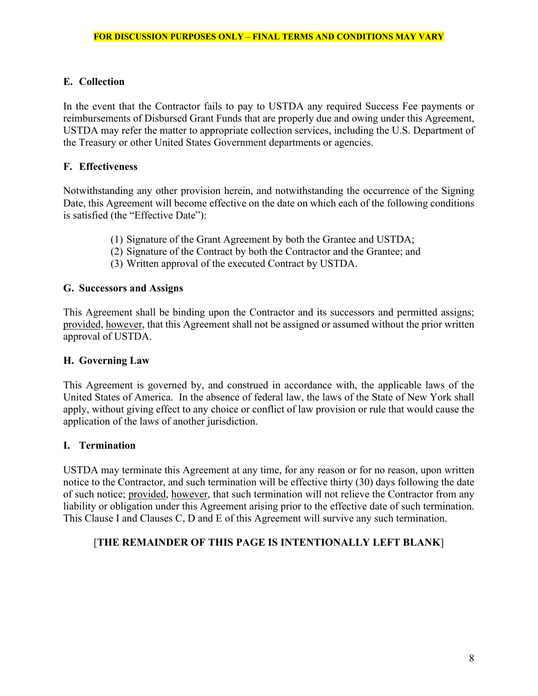# <span id="page-7-2"></span>**E. Collection**

In the event that the Contractor fails to pay to USTDA any required Success Fee payments or reimbursements of Disbursed Grant Funds that are properly due and owing under this Agreement, USTDA may refer the matter to appropriate collection services, including the U.S. Department of the Treasury or other United States Government departments or agencies.

# <span id="page-7-0"></span>**F. Effectiveness**

Notwithstanding any other provision herein, and notwithstanding the occurrence of the Signing Date, this Agreement will become effective on the date on which each of the following conditions is satisfied (the "Effective Date"):

- (1) Signature of the Grant Agreement by both the Grantee and USTDA;
- (2) Signature of the Contract by both the Contractor and the Grantee; and
- (3) Written approval of the executed Contract by USTDA.

## **G. Successors and Assigns**

This Agreement shall be binding upon the Contractor and its successors and permitted assigns; provided, however, that this Agreement shall not be assigned or assumed without the prior written approval of USTDA.

## **H. Governing Law**

This Agreement is governed by, and construed in accordance with, the applicable laws of the United States of America. In the absence of federal law, the laws of the State of New York shall apply, without giving effect to any choice or conflict of law provision or rule that would cause the application of the laws of another jurisdiction.

## <span id="page-7-1"></span>**I. Termination**

USTDA may terminate this Agreement at any time, for any reason or for no reason, upon written notice to the Contractor, and such termination will be effective thirty (30) days following the date of such notice; provided, however, that such termination will not relieve the Contractor from any liability or obligation under this Agreement arising prior to the effective date of such termination. This Clause [I](#page-7-1) and Clauses [C,](#page-5-0) [D](#page-6-0) and [E](#page-7-2) of this Agreement will survive any such termination.

# [**THE REMAINDER OF THIS PAGE IS INTENTIONALLY LEFT BLANK**]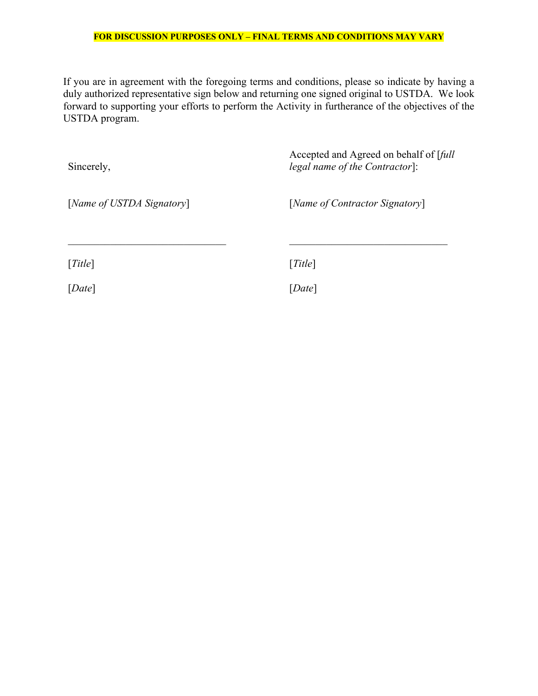If you are in agreement with the foregoing terms and conditions, please so indicate by having a duly authorized representative sign below and returning one signed original to USTDA. We look forward to supporting your efforts to perform the Activity in furtherance of the objectives of the USTDA program.

| Sincerely,                | Accepted and Agreed on behalf of [full<br>legal name of the Contractor]: |
|---------------------------|--------------------------------------------------------------------------|
| [Name of USTDA Signatory] | [Name of Contractor Signatory]                                           |
| [Title]                   | [Title]                                                                  |
| [Date]                    | [Date]                                                                   |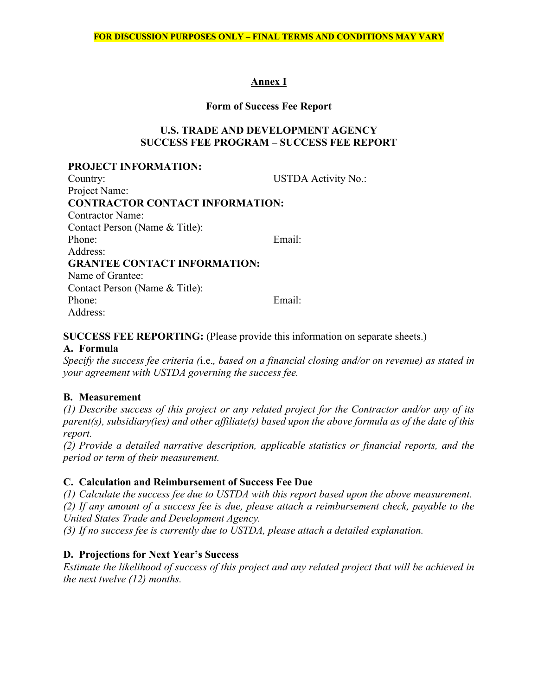# **Annex I**

#### **Form of Success Fee Report**

## **U.S. TRADE AND DEVELOPMENT AGENCY SUCCESS FEE PROGRAM – SUCCESS FEE REPORT**

#### **PROJECT INFORMATION:**

| Country:                               | <b>USTDA Activity No.:</b> |
|----------------------------------------|----------------------------|
| Project Name:                          |                            |
| <b>CONTRACTOR CONTACT INFORMATION:</b> |                            |
| <b>Contractor Name:</b>                |                            |
| Contact Person (Name & Title):         |                            |
| Phone:                                 | Email:                     |
| Address:                               |                            |
| <b>GRANTEE CONTACT INFORMATION:</b>    |                            |
| Name of Grantee:                       |                            |
| Contact Person (Name & Title):         |                            |
| Phone:                                 | Email:                     |
| Address:                               |                            |

# **SUCCESS FEE REPORTING:** (Please provide this information on separate sheets.)

# **A. Formula**

*Specify the success fee criteria (*i.e.*, based on a financial closing and/or on revenue) as stated in your agreement with USTDA governing the success fee.*

## **B. Measurement**

*(1) Describe success of this project or any related project for the Contractor and/or any of its parent(s), subsidiary(ies) and other affiliate(s) based upon the above formula as of the date of this report.*

*(2) Provide a detailed narrative description, applicable statistics or financial reports, and the period or term of their measurement.*

## **C. Calculation and Reimbursement of Success Fee Due**

*(1) Calculate the success fee due to USTDA with this report based upon the above measurement.* 

*(2) If any amount of a success fee is due, please attach a reimbursement check, payable to the United States Trade and Development Agency.* 

*(3) If no success fee is currently due to USTDA, please attach a detailed explanation.* 

# **D. Projections for Next Year's Success**

*Estimate the likelihood of success of this project and any related project that will be achieved in the next twelve (12) months.*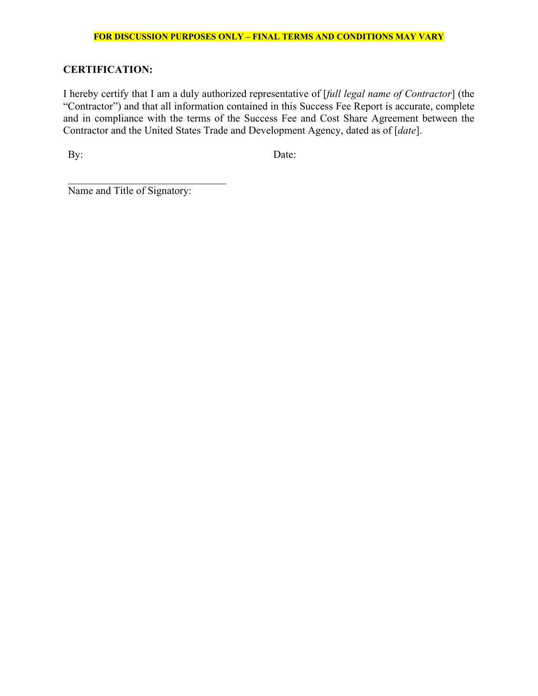# **CERTIFICATION:**

I hereby certify that I am a duly authorized representative of [*full legal name of Contractor*] (the "Contractor") and that all information contained in this Success Fee Report is accurate, complete and in compliance with the terms of the Success Fee and Cost Share Agreement between the Contractor and the United States Trade and Development Agency, dated as of [*date*].

By: Date:

Name and Title of Signatory: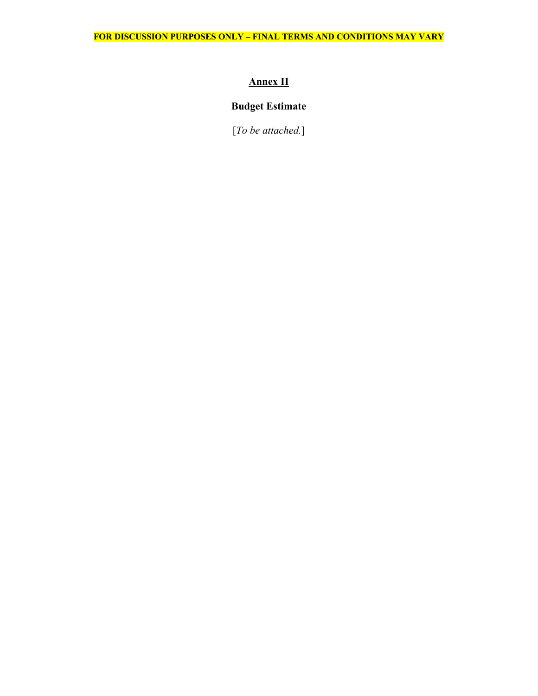# **Annex II**

# <span id="page-11-0"></span>**Budget Estimate**

[*To be attached.*]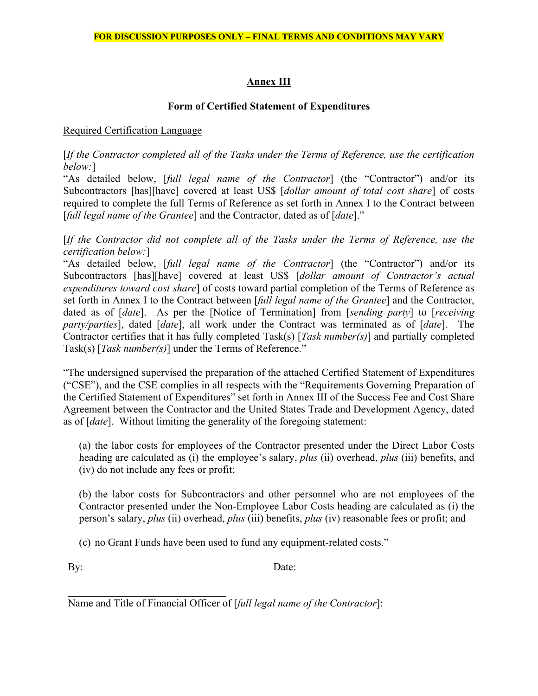# **Annex III**

# **Form of Certified Statement of Expenditures**

# <span id="page-12-0"></span>Required Certification Language

[*If the Contractor completed all of the Tasks under the Terms of Reference, use the certification below:*]

"As detailed below, [*full legal name of the Contractor*] (the "Contractor") and/or its Subcontractors [has][have] covered at least US\$ [*dollar amount of total cost share*] of costs required to complete the full Terms of Reference as set forth in Annex I to the Contract between [*full legal name of the Grantee*] and the Contractor, dated as of [*date*]."

[*If the Contractor did not complete all of the Tasks under the Terms of Reference, use the certification below:*]

"As detailed below, [*full legal name of the Contractor*] (the "Contractor") and/or its Subcontractors [has][have] covered at least US\$ [*dollar amount of Contractor's actual expenditures toward cost share*] of costs toward partial completion of the Terms of Reference as set forth in Annex I to the Contract between [*full legal name of the Grantee*] and the Contractor, dated as of [*date*]. As per the [Notice of Termination] from [*sending party*] to [*receiving party/parties*], dated [*date*], all work under the Contract was terminated as of [*date*]. The Contractor certifies that it has fully completed Task(s) [*Task number(s)*] and partially completed Task(s) [*Task number(s)*] under the Terms of Reference."

"The undersigned supervised the preparation of the attached Certified Statement of Expenditures ("CSE"), and the CSE complies in all respects with the "Requirements Governing Preparation of the Certified Statement of Expenditures" set forth in [Annex III](#page-12-0) of the Success Fee and Cost Share Agreement between the Contractor and the United States Trade and Development Agency, dated as of [*date*]. Without limiting the generality of the foregoing statement:

(a) the labor costs for employees of the Contractor presented under the Direct Labor Costs heading are calculated as (i) the employee's salary, *plus* (ii) overhead, *plus* (iii) benefits, and (iv) do not include any fees or profit;

(b) the labor costs for Subcontractors and other personnel who are not employees of the Contractor presented under the Non-Employee Labor Costs heading are calculated as (i) the person's salary, *plus* (ii) overhead, *plus* (iii) benefits, *plus* (iv) reasonable fees or profit; and

(c) no Grant Funds have been used to fund any equipment-related costs."

By: Date:

\_\_\_\_\_\_\_\_\_\_\_\_\_\_\_\_\_\_\_\_\_\_\_\_\_\_\_\_\_\_ Name and Title of Financial Officer of [*full legal name of the Contractor*]: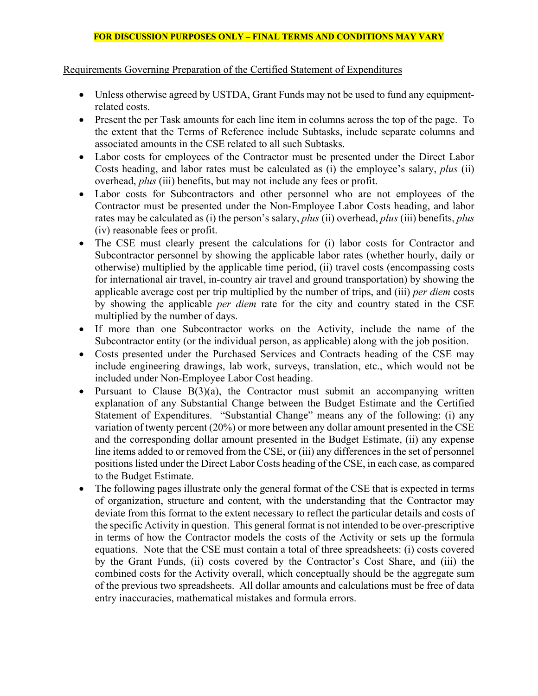Requirements Governing Preparation of the Certified Statement of Expenditures

- Unless otherwise agreed by USTDA, Grant Funds may not be used to fund any equipmentrelated costs.
- Present the per Task amounts for each line item in columns across the top of the page. To the extent that the Terms of Reference include Subtasks, include separate columns and associated amounts in the CSE related to all such Subtasks.
- Labor costs for employees of the Contractor must be presented under the Direct Labor Costs heading, and labor rates must be calculated as (i) the employee's salary, *plus* (ii) overhead, *plus* (iii) benefits, but may not include any fees or profit.
- Labor costs for Subcontractors and other personnel who are not employees of the Contractor must be presented under the Non-Employee Labor Costs heading, and labor rates may be calculated as (i) the person's salary, *plus* (ii) overhead, *plus* (iii) benefits, *plus* (iv) reasonable fees or profit.
- The CSE must clearly present the calculations for (i) labor costs for Contractor and Subcontractor personnel by showing the applicable labor rates (whether hourly, daily or otherwise) multiplied by the applicable time period, (ii) travel costs (encompassing costs for international air travel, in-country air travel and ground transportation) by showing the applicable average cost per trip multiplied by the number of trips, and (iii) *per diem* costs by showing the applicable *per diem* rate for the city and country stated in the CSE multiplied by the number of days.
- If more than one Subcontractor works on the Activity, include the name of the Subcontractor entity (or the individual person, as applicable) along with the job position.
- Costs presented under the Purchased Services and Contracts heading of the CSE may include engineering drawings, lab work, surveys, translation, etc., which would not be included under Non-Employee Labor Cost heading.
- Pursuant to Clause  $B(3)(a)$  $B(3)(a)$ , the Contractor must submit an accompanying written explanation of any Substantial Change between the Budget Estimate and the Certified Statement of Expenditures. "Substantial Change" means any of the following: (i) any variation of twenty percent (20%) or more between any dollar amount presented in the CSE and the corresponding dollar amount presented in the Budget Estimate, (ii) any expense line items added to or removed from the CSE, or (iii) any differences in the set of personnel positions listed under the Direct Labor Costs heading of the CSE, in each case, as compared to the Budget Estimate.
- The following pages illustrate only the general format of the CSE that is expected in terms of organization, structure and content, with the understanding that the Contractor may deviate from this format to the extent necessary to reflect the particular details and costs of the specific Activity in question. This general format is not intended to be over-prescriptive in terms of how the Contractor models the costs of the Activity or sets up the formula equations. Note that the CSE must contain a total of three spreadsheets: (i) costs covered by the Grant Funds, (ii) costs covered by the Contractor's Cost Share, and (iii) the combined costs for the Activity overall, which conceptually should be the aggregate sum of the previous two spreadsheets. All dollar amounts and calculations must be free of data entry inaccuracies, mathematical mistakes and formula errors.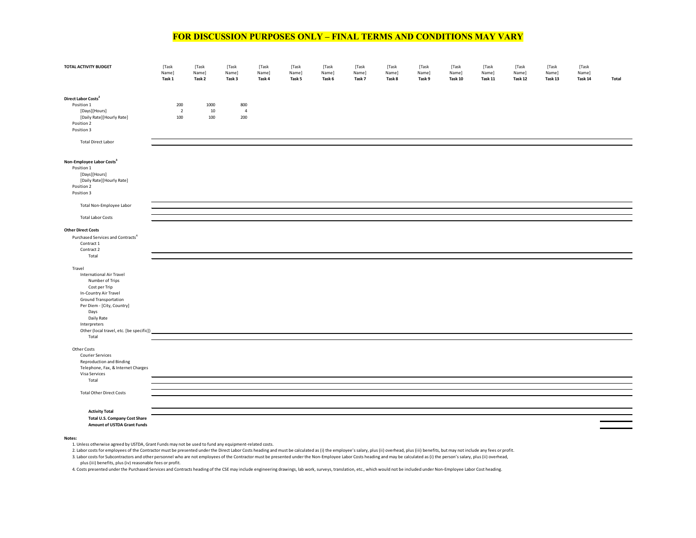| TOTAL ACTIVITY BUDGET                                                                                                                                                                                                                                    | [Task<br>Name]<br>Task 1     | [Task<br>Name]<br>Task 2 | [Task<br>Name]<br>Task 3     | [Task<br>Name]<br>Task 4 | [Task<br>Name]<br>Task 5 | [Task<br>Name]<br>Task 6 | [Task<br>Name]<br>Task 7 | [Task<br>Name]<br>Task 8 | [Task<br>Name]<br>Task 9 | [Task<br>Name]<br>Task 10 | [Task<br>Name]<br>Task 11 | [Task<br>Name]<br>Task 12 | [Task<br>Name]<br>Task 13 | [Task<br>Name]<br>Task 14 | Total |
|----------------------------------------------------------------------------------------------------------------------------------------------------------------------------------------------------------------------------------------------------------|------------------------------|--------------------------|------------------------------|--------------------------|--------------------------|--------------------------|--------------------------|--------------------------|--------------------------|---------------------------|---------------------------|---------------------------|---------------------------|---------------------------|-------|
| Direct Labor Costs <sup>2</sup><br>Position 1<br>[Days][Hours]<br>[Daily Rate][Hourly Rate]<br>Position 2<br>Position 3<br><b>Total Direct Labor</b>                                                                                                     | 200<br>$\overline{2}$<br>100 | 1000<br>$10\,$<br>100    | 800<br>$\overline{4}$<br>200 |                          |                          |                          |                          |                          |                          |                           |                           |                           |                           |                           |       |
| Non-Employee Labor Costs <sup>3</sup><br>Position 1<br>[Days][Hours]<br>[Daily Rate][Hourly Rate]<br>Position 2<br>Position 3                                                                                                                            |                              |                          |                              |                          |                          |                          |                          |                          |                          |                           |                           |                           |                           |                           |       |
| Total Non-Employee Labor<br><b>Total Labor Costs</b>                                                                                                                                                                                                     |                              |                          |                              |                          |                          |                          |                          |                          |                          |                           |                           |                           |                           |                           |       |
| <b>Other Direct Costs</b><br>Purchased Services and Contracts <sup>4</sup><br>Contract 1<br>Contract 2<br>Total                                                                                                                                          |                              |                          |                              |                          |                          |                          |                          |                          |                          |                           |                           |                           |                           |                           |       |
| Travel<br><b>International Air Travel</b><br>Number of Trips<br>Cost per Trip<br>In-Country Air Travel<br>Ground Transportation<br>Per Diem - [City, Country]<br>Days<br>Daily Rate<br>Interpreters<br>Other (local travel, etc. [be specific])<br>Total |                              |                          |                              |                          |                          |                          |                          |                          |                          |                           |                           |                           |                           |                           |       |
| Other Costs<br><b>Courier Services</b><br><b>Reproduction and Binding</b><br>Telephone, Fax, & Internet Charges<br>Visa Services<br>Total                                                                                                                |                              |                          |                              |                          |                          |                          |                          |                          |                          |                           |                           |                           |                           |                           |       |
| <b>Total Other Direct Costs</b>                                                                                                                                                                                                                          |                              |                          |                              |                          |                          |                          |                          |                          |                          |                           |                           |                           |                           |                           |       |
| <b>Activity Total</b><br>Total U.S. Company Cost Share<br>Amount of USTDA Grant Funds                                                                                                                                                                    |                              |                          |                              |                          |                          |                          |                          |                          |                          |                           |                           |                           |                           |                           |       |

#### **Notes:**

1. Unless otherwise agreed by USTDA, Grant Funds may not be used to fund any equipment-related costs.

2. Labor costs for employees of the Contractor must be presented under the Direct Labor Costs heading and must be calculated as (i) the employee's salary, plus (ii) overhead, plus (ii) benefits, but may not include any fee

3. Labor costs for Subcontractors and other personnel who are not employees of the Contractor must be presented under the Non-Employee Labor Costs heading and may be calculated as (i) the person's salary, plus (ii) overhead, plus (iii) benefits, plus (iv) reasonable fees or profit.

4. Costs presented under the Purchased Services and Contracts heading of the CSE may include engineering drawings, lab work, surveys, translation, etc., which would not be included under Non-Employee Labor Cost heading.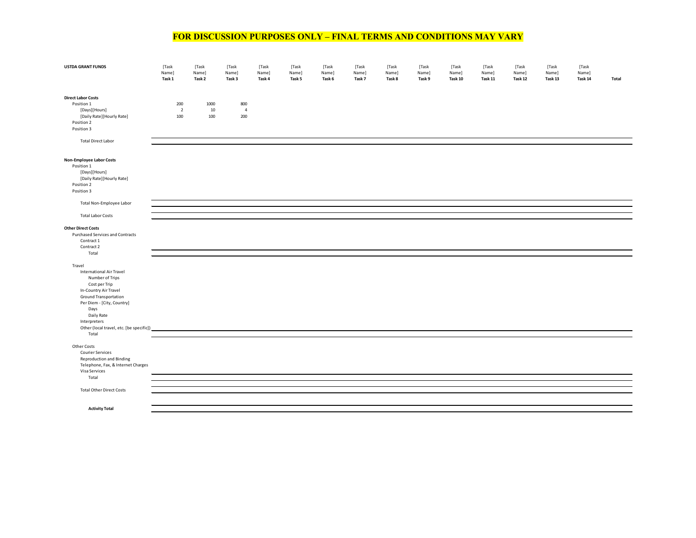| <b>USTDA GRANT FUNDS</b>                                                                                                                                                                                                                                 | [Task<br>Name]<br>Task 1     | [Task<br>Name]<br>Task 2 | [Task<br>Name]<br>Task 3     | [Task<br>Name]<br>Task 4 | [Task<br>Name]<br>Task 5 | [Task<br>Name]<br>Task 6 | [Task<br>Name]<br>Task 7 | [Task<br>Name]<br>Task 8 | [Task<br>Name]<br>Task 9 | [Task<br>Name]<br>Task 10 | [Task<br>Name]<br>Task 11 | [Task<br>Name]<br>Task 12 | [Task<br>Name]<br>Task 13 | [Task<br>Name]<br>Task 14 | Total |
|----------------------------------------------------------------------------------------------------------------------------------------------------------------------------------------------------------------------------------------------------------|------------------------------|--------------------------|------------------------------|--------------------------|--------------------------|--------------------------|--------------------------|--------------------------|--------------------------|---------------------------|---------------------------|---------------------------|---------------------------|---------------------------|-------|
| <b>Direct Labor Costs</b><br>Position 1<br>[Days][Hours]<br>[Daily Rate][Hourly Rate]<br>Position 2<br>Position 3<br><b>Total Direct Labor</b>                                                                                                           | 200<br>$\overline{2}$<br>100 | 1000<br>10<br>100        | 800<br>$\overline{4}$<br>200 |                          |                          |                          |                          |                          |                          |                           |                           |                           |                           |                           |       |
| Non-Employee Labor Costs<br>Position 1<br>[Days][Hours]<br>[Daily Rate][Hourly Rate]<br>Position 2<br>Position 3                                                                                                                                         |                              |                          |                              |                          |                          |                          |                          |                          |                          |                           |                           |                           |                           |                           |       |
| Total Non-Employee Labor                                                                                                                                                                                                                                 |                              |                          |                              |                          |                          |                          |                          |                          |                          |                           |                           |                           |                           |                           |       |
| <b>Total Labor Costs</b>                                                                                                                                                                                                                                 |                              |                          |                              |                          |                          |                          |                          |                          |                          |                           |                           |                           |                           |                           |       |
| <b>Other Direct Costs</b><br>Purchased Services and Contracts<br>Contract 1<br>Contract 2<br>Total                                                                                                                                                       |                              |                          |                              |                          |                          |                          |                          |                          |                          |                           |                           |                           |                           |                           |       |
| Travel<br><b>International Air Travel</b><br>Number of Trips<br>Cost per Trip<br>In-Country Air Travel<br>Ground Transportation<br>Per Diem - [City, Country]<br>Days<br>Daily Rate<br>Interpreters<br>Other (local travel, etc. [be specific])<br>Total |                              |                          |                              |                          |                          |                          |                          |                          |                          |                           |                           |                           |                           |                           |       |
| Other Costs<br>Courier Services<br><b>Reproduction and Binding</b><br>Telephone, Fax, & Internet Charges<br>Visa Services                                                                                                                                |                              |                          |                              |                          |                          |                          |                          |                          |                          |                           |                           |                           |                           |                           |       |
| Total                                                                                                                                                                                                                                                    |                              |                          |                              |                          |                          |                          |                          |                          |                          |                           |                           |                           |                           |                           |       |
| <b>Total Other Direct Costs</b>                                                                                                                                                                                                                          |                              |                          |                              |                          |                          |                          |                          |                          |                          |                           |                           |                           |                           |                           |       |
| <b>Activity Total</b>                                                                                                                                                                                                                                    |                              |                          |                              |                          |                          |                          |                          |                          |                          |                           |                           |                           |                           |                           |       |